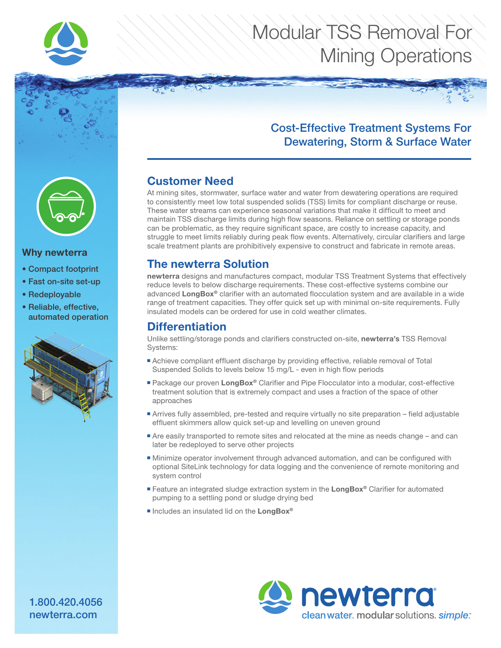

# Modular TSS Removal For Mining Operations

### Cost-Effective Treatment Systems For Dewatering, Storm & Surface Water

#### Why newterra

- Compact footprint
- Fast on-site set-up
- Redeployable
- Reliable, effective, automated operation



### Customer Need

At mining sites, stormwater, surface water and water from dewatering operations are required to consistently meet low total suspended solids (TSS) limits for compliant discharge or reuse. These water streams can experience seasonal variations that make it difficult to meet and maintain TSS discharge limits during high flow seasons. Reliance on settling or storage ponds can be problematic, as they require significant space, are costly to increase capacity, and struggle to meet limits reliably during peak flow events. Alternatively, circular clarifiers and large scale treatment plants are prohibitively expensive to construct and fabricate in remote areas.

### The newterra Solution

newterra designs and manufactures compact, modular TSS Treatment Systems that effectively reduce levels to below discharge requirements. These cost-effective systems combine our advanced LongBox<sup>®</sup> clarifier with an automated flocculation system and are available in a wide range of treatment capacities. They offer quick set up with minimal on-site requirements. Fully insulated models can be ordered for use in cold weather climates.

#### **Differentiation**

Unlike settling/storage ponds and clarifiers constructed on-site, newterra's TSS Removal Systems:

- Achieve compliant effluent discharge by providing effective, reliable removal of Total Suspended Solids to levels below 15 mg/L - even in high flow periods
- Package our proven LongBox® Clarifier and Pipe Flocculator into a modular, cost-effective treatment solution that is extremely compact and uses a fraction of the space of other approaches
- Arrives fully assembled, pre-tested and require virtually no site preparation field adjustable effluent skimmers allow quick set-up and levelling on uneven ground
- Are easily transported to remote sites and relocated at the mine as needs change and can later be redeployed to serve other projects
- Minimize operator involvement through advanced automation, and can be configured with optional SiteLink technology for data logging and the convenience of remote monitoring and system control
- Feature an integrated sludge extraction system in the LongBox® Clarifier for automated pumping to a settling pond or sludge drying bed
- Includes an insulated lid on the LongBox®



1.800.420.4056 newterra.com